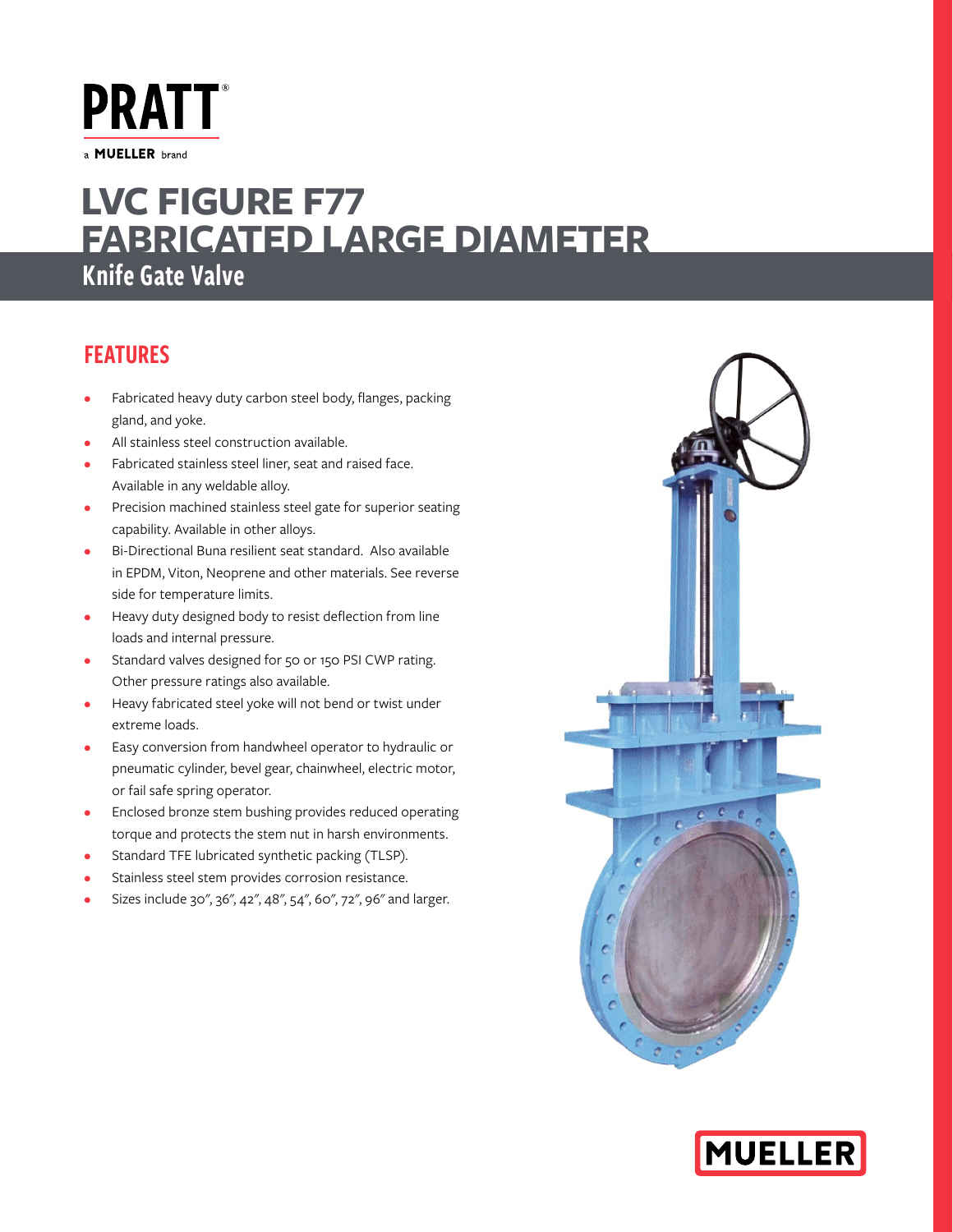**PRATT** a MUELLER brand

# Knife Gate Valve **LVC FIGURE F77 FABRICATED LARGE DIAMETER**

## FEATURES

- Fabricated heavy duty carbon steel body, flanges, packing gland, and yoke.
- All stainless steel construction available.
- Fabricated stainless steel liner, seat and raised face. Available in any weldable alloy.
- Precision machined stainless steel gate for superior seating capability. Available in other alloys.
- Bi-Directional Buna resilient seat standard. Also available in EPDM, Viton, Neoprene and other materials. See reverse side for temperature limits.
- Heavy duty designed body to resist deflection from line loads and internal pressure.
- Standard valves designed for 50 or 150 PSI CWP rating. Other pressure ratings also available.
- Heavy fabricated steel yoke will not bend or twist under extreme loads.
- Easy conversion from handwheel operator to hydraulic or pneumatic cylinder, bevel gear, chainwheel, electric motor, or fail safe spring operator.
- Enclosed bronze stem bushing provides reduced operating torque and protects the stem nut in harsh environments.
- Standard TFE lubricated synthetic packing (TLSP).
- Stainless steel stem provides corrosion resistance.
- Sizes include 30", 36", 42", 48", 54", 60", 72", 96" and larger.